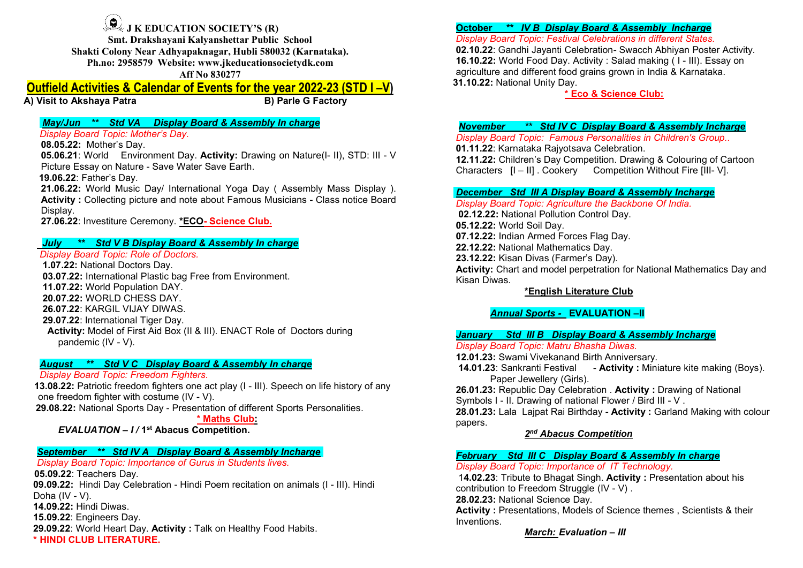J K EDUCATION SOCIETY'S (R)<br>
Drakshayani Kalyanshettar Public School<br>
y Near Adhyapaknagar, Hubli 580032 (Karnataka).<br>
58579 Website: www.jkeducationsocietydk.com<br>
Aff No 830277<br>
A Calendar of Events for the year 2022-23 ( Smt. Drakshayani Kalyanshettar Public School<br>
Smt. Drakshayani Kalyanshettar Public School<br>
Smt. Drakshayani Kalyanshettar Public School<br>
Show Near Adhyapaknagar, Hubli 580032 (Karnataka).<br>
2958579 Website: www.jkeducation Shakti Colony Near Adhyapaknagar, Hubli Shool<br>
Shakti Colony Near Adhyapaknagar, Hubli 580032 (Karnataka).<br>
Ph.no: 2958579 Website: www.jkeducationsocietydk.com<br>
Af No 830277<br>
Akshaya Patra<br>
Bether Shool (State Adhyapaknag 9 J K EDUCATION SOCIETY'S (R)<br>
Smt. Drakshayani Kalyanshettar Public School<br>
kti Colony Near Adhyapaknagar, Hubli 580032 (Karnataka).<br>
Ph.no: 2958579 Website: www.jkeducationsocietydk.com<br>
Aff No 830277<br>
Attivities & Calen TION SOCIETY'S (R)<br>
ii Kalyanshettar Public School<br>
vapaknagar, Hubli 580032 (Karnataka).<br>
ite: www.jkeducationsocietydk.com<br>
Aff No 830277<br> **of Events for the year 2022-23 (STD I –V)**<br>
B) Parle G Factory<br>
ay Board & Asse Outfield Activities & Calendar of Events for the year 2022-23 (STD I –V)<br>
Shaki Colomy Near Adhyapakhettar Public School<br>
Shaki Colomy Near Adhyapakhettar Public S603021<br>
Shaki Colomy Near Adhyapakhettar Public S603021<br>
Af 3.1 K EDUCATION SOCIETY'S (R)<br>
Solution when Adhyanshettar Public School<br>
Shaki Colony Near Adhyanshettar Public Selon<br>
Shaki Colony Near Adhyanshettar Public Selon<br>
Shaki Colony Near Adhyanshettar Public Selon<br>
Shaki Colo **Example 18 AN EDUCATION SOCIETY'S (R)**<br>
Smt. Drakshayani Kalyanshettar Public School<br>
Shaki Colony Near Adhyanshettar Public S60022 (Karnataka).<br>
Ph.no: 2958579 Website: www.jkeducationsocictydk.com<br> **Aff No 830277**<br>
Sitt **Example 18 and Society** Board Topic: Mether's Day.<br>
1 Board Topics and Manual Samples of Number 2013579 Shakii Colony Near Adhyapaknagar, Hubli 580032 (Karnataka).<br>
1 and 10.2.10.<br>
1 Ph.no: 2958579 Website: www.jkeducatio **Example 18. IN:** EDUCATION SOCIETY'S (R)<br>
Simt. Drakshayani Kalyanshettar Public School<br>
Shakti Colony Near Adhyapaknagar, Hubli 580032 (Karnataka).<br>
Ph.no: 2958579 Website: www.jkeducationsocietydk.com<br>
Aff No 830277<br> **I** 9. 3 K EDUCATION SOCIETY'S (R)<br>
Small Colony Near Adhyapakinagar, Hubli Seluo32 (Karnataka).<br>
Small Colony Near Adhyapakinagar, Hubli Seluo32 (Karnataka).<br>
Ph.no: 2958579 Website: www.jkeducationsocietydk.com<br>
16.10.22: **Example 18 and 18 and 18 and 18 and 18 and 18 and 18 and 18 and 18 and 18 and 18 and 18 and 18 and 18 and 18 and 18 and 18 and 18 and 18 and 18 and 18 and 18 and 18 and 18 and 18 and 18 and 18 and 18 and 18 and 18 and 18 14.** IN: EDUCATION SOCIETY'S (R)<br>
Smt. Drakshayani Kalyanshettar Public School<br>
Shakti Colony Near Adhyapaknagar, Hubli 580032 (Karnataka).<br>
Ph.no: 2958579 Websit: www.jkeducationsocietydk.com<br> **14.06.22:** Father's Day.<br> 22. Hatinet Boyle, Workington Society Scheme and Assembly the School Since We are the Shade of Topic Fee<br>
Shakti Colony Near Adhyapakingar, Hubli S80032 (Karnataka).<br>
27.06.22: Voord Food Despite www. Jieducture and differ

Display.

**1.** Solution New Adhapasite the Public School Shaki Colombia Charge Shaki Colombia Paya Assembly and Charge Shaki Colombia Paya Assembly and Charge Shaki Colombia Display Board Topic: Festival<br>
The Display Board Topic: F **Computer Solution Solution** Society's (R)<br>
Shakti Colony Near Adhyapaknagar, Hubli S80032 (Karnataka).<br> **Display Board State wave jleductionsocietydk.com**<br> **Ph.no: 2958579 Website www.jleductionsocietydk.com**<br> **Iffield A 1.0.**<br> **1.07.22:** Internal Designation Day.<br> **1.07.22:** Internal Designation Day.<br> **1.07.22: National Doctors Day.**<br> **1.07.22: Nother's Day.**<br> **1.07.22:** Nother's Day.<br> **1.07.22:** Nother's Day.<br> **1.07.22:** Nother's Day.<br> Smit. Drakshaya Kapter TV SOCETY'S Rive (CATION SOCETY'S Riverational Paster and diverse and Human Ribis Solony Near Adhyapakettar Publis Solony Cass Candible Plastic Colony Near Adhyapakettar Publis Solony Cass Candible S Shakti Colony Near Animalyanshettar Public School<br>
21.3. Shakti Colony Near Adhyaphabragar, Hubli S80032 (Karnataka).<br>
Th.no: 2958579 Website: www.jkeducationsocictydk.com<br>
16.1.<br>
161.1.02.22.23 (STD I – V)<br>
17.1.<br>
181.11<br> 20.07.22: WORLD CHESS DAY. Ph.no: 2958579 Website: www.jkeducationsocietydk.com<br>
26.07.22: Wittice **S. Calendar of Events for the year 2022-23 (STD I –V)**<br>
26.1<br>
26.022.22: Mother's Day<br>
26.022: Mother's Day<br>
26.022: Mother's Day<br>
26.022: Mother's **Example 129.1 Articles & Calendar of Events for the year 2022-23 (STD I –V)**<br>
29.18.18.19.22: International Tiger Day.<br>
29.19.22: International Tiger Day.<br>
29.19.22: International Tiger Day.<br>
20.22: International Tiger Da Controlling A Colectivity: Colecting Price Scheme Controlling Controlling Controlling Controlling Controlling Controlling Controlling Controlling Controlling Controlling Controlling Controlling Controlling Controlling Cont **to Akshaya Patra B) Parle G Factory**<br> **Examply The Carry of The Colombic State (IV - Weber's Day.**<br> **Examply Board Topic: Mother's Day.**<br> **E.22:** Mother's Day.<br> **E.22:** World Environment Day. Activity: Drawing on Nature **May/un •••• Std VA Display Board & Assembly in charge (All Capital Conservation of the State Conservation of the State Conservation of the State Conservation of the State Conservation of the State Conservation of the Sta** Display Board Topic: Mother's Day.<br>
0.65.22: Nother's Day.<br>
0.6.0.22: Nother's Day.<br>
14.14.15.06.22: Nother Save Water Save Earth.<br>
Picture Essay on Nature (- II), STD: III - V<br>
14.14.15.06.22: Nother May International Yo 13.08.22: Mother's Day<br>
13.08.22: Hotters one act play (Assembly Mess Display ).<br>
13.11.22: Contact freedom fighters one Nature Save Water Save Earth.<br>
13.08.22: Patriot Explane Save Water Save Earth.<br>
13.08.22: Patriot Sa **one S21 World Environment Day, Activity:** Drawing on Nature(I- II), STD: III - V<br>
The Characters (Internactional Youth Mass Display 1, 2006 27: North Mass Display (Assembly Mass Display).<br>
21.06.22: Father's Day.<br>
Activi Picture Essay on National Sports Day - Save Water Save Earth.<br>
29.08.22: National Sports Day - The Save Earth.<br>
29.08.22: National Polyce Day - Change and not be about Marsin Design on the Sports Day - Section of Day Four Characters [I – II] Characters [I – II] Characters [I – II] Characters [I – II] Characters [I – II] Characters [I – II] Characters [I – II] Characters [I – II] Characters [I – II] Characters [I – II] Characters [I – II] Ch **16.22:** World Music Day/ International Yoga Day ( Assembly Mass Display ).<br> **Notivity:** Collecting picture and note about Famous Musicians - Class notice Board<br>
May.<br>
18.22: Investiture Ceremony. "ECO- Science Club.<br>
19.7 (a) Day International Yoga Day (Assembly Mass Display).<br>
The and note about Famous Musicians - Class notice Board<br>
1997 Board Competition.<br>
1997 Board & Assembly In charge<br>
1997 Board & Assembly In charge<br>
1997 Board & Ass Display Board Topic *Martime Ceremony*. <u>"ECO- Science Club,</u><br>
2012.22: Voltable IDsy.<br>
102.12.22: Voltable IDsy.<br>
102.12.22: Voltable IDsy.<br>
102.22: Voltable IDsy.<br>
202.2: Voltable IDsy.<br>
202.2: Voltable IDsy.<br>
202.2: In 27.06.22: Investiture Ceremony. <u>"ECO- Science Club,</u> 02.12.22: Waternal Foundal Points (1974) 23. Then Armed Force of Doctors.<br>
27.06.22: Indian Armed Force of Doctors.<br>
28.13.22: In Armuna Doctors Day.<br>
28.13.22: In Arm **July \*\* Std VB Display Board & Assembly In charge<br>
July \*\* Std VB Display Board & Assembly In charge<br>
1.07.22: World Poplution DAY.<br>
1.07.22: World Poplution DAY.<br>
26.07.22: World Poplution DAY.<br>
26.07.22: World Poplutio Universed by the Display Board Topic Research (V-V)**<br>
20.12.22: Historial Mathematics Day<br>
10.6722: Historial Cotors Say,<br>
10.6722: Historial Mathematics Day<br>
10.6722: Historial Poem Form Environment.<br>
20.0722: WORI D'OH **Display Board Topic: Role of Doctors.**<br>
10.0722: National Doctors Day.<br>
10.3.07.22: International Plastic bag Free from Environment.<br>
11.07.22: World Population DAY.<br>
20.07.22: KARGIL VIJAY DIWAS.<br>
29.07.22: Hernational T 1.07.22: National Plastic bag<br>
1.07.22: Hindridonal Plastic bag<br>
11.07.22: Hindridonal Plastic bag<br>
11.07.22: World Population DAY.<br>
20.07.22: World Population DAY.<br>
20.07.22: World Population DAY.<br>
20.07.22: Hiermational **03.07.22:** International Plastic bag Free from Environment.<br>
16.07.22: WorkI Population DAY.<br>
20.07.22: WorkI Depulation DAY.<br>
20.07.22: KARGIL VIJAY DIWAS.<br>
20.07.22: KARGIL VIJAY DIWAS.<br>
20.07.22: Enternational Tiger Da 29.09.22: International Tight Scatter of Gives The Statter of Declors during<br>
20.07.22: Work Dichers Day.<br>
20.07.22: Marchives Heart Day. Hotel of First Ad Box (II & III). ENACT Role of Doctors during<br>
20.07.22: World of F 20.07.22: WORLD CHESS DAY.<br>
26.07.22: WORLD CHESS DAY.<br>
26.07.22: KNRGIL VIJAY DIWAS.<br>
26.07.22: International Tiger Day.<br>
Activity: Model of First Aid Box (II & III). ENACT Role of Doctors during<br>
pandemic (IV - V).<br> **Au** 

**October \*\* IV B Display Board & Assembly Incharge**<br>Display Board Topic: Festival Celebrations in different States.<br>02.10.22: Gandhi Jayanti Celebration- Swacch Abhiyan Poster Activity.<br>16.10.22: World Food Day. Activity : October \*\* IV B Display Board & Assembly Incharge<br>Display Board Topic: Festival Celebrations in different States.<br>02.10.22: Gandhi Jayanti Celebration- Swacch Abhiyan Poster Activity.<br>16.10.22: World Food Day. Activity : S **October \*\* IV B Display Board & Assembly Incharge**<br>Display Board Topic: Festival Celebrations in different States.<br>02.10.22: Gandhi Jayanti Celebration- Swacch Abhiyan Poster Activity.<br>16.10.22: World Food Day. Activity : **October \*\* IV B Display Board & Assembly Incharge**<br>Display Board Topic: Festival Celebrations in different States.<br>**02.10.22:** Gandhi Jayanti Celebration- Swacch Abhiyan Poster Activity.<br>**16.10.22:** World Food Day. Activi **October \*\* IV B Display Board & Assembly Incharge**<br>Display Board Topic: Festival Celebrations in different States.<br>02.10.22: Gandhi Jayanti Celebration- Swacch Abhiyan Poster Activity.<br>16.10.22: World Food Day. Activity : **October \*\* IV B Display Board & Assembly Incharge**<br>
Display Board Topic: Festival Celebrations in different States.<br>
02.10.22: Gandhi Jayanti Celebration- Swacch Abhiyan Poster Activity.<br>
16.10.22: World Food Day. Activit **Ilay Board & Assembly Incharge**<br>
ival Celebrations in different States.<br>
Celebration- Swacch Abhiyan Poster Activity.<br>
V. Activity : Salad making (1 - III). Essay on<br>
od grains grown in India & Karnataka.<br>
ay.<br>
<u>\* Eco & S</u> **October \*\* IV B Display Board & Assembly Incharge**<br>
Display Board Topic: Festival Celebrations in different States.<br> **16.10.22:** Gandhi Jayanti Celebration- Swacch Abhiyan Poster Activity.<br> **16.10.22:** World Food Day. Act **October \*\* IV B Display Board & Assembly Incharge**<br>
Display Board Topic: Festival Celebrations in different States.<br>
02.10.22: Gandhi Jayanti Celebration- Swacch Abhiyan Poster Activity.<br>
16.10.22: World Food Day. Activit **October \*\* IV B Display Board & Assembly Incharge**<br>
Display Board Topic: Festival Celebrations in different States.<br>
02.10.22: Gandhi Jayanti Celebration- Swacch Abhiyan Poster Activity.<br>
16.10.22: World Food Day. Activit **October \*\* IV B Display Board & Assembly Incharge**<br>
Display Board Topic: Festival Celebrations in different States.<br>
02.10.22: Gandhi Jayanti Celebration- Swacch Abhiyan Poster Activity.<br>
16.10.22: World Food Day. Activit **October \*\* IV B Display Board & Assembly Incharge**<br>Display Board Topic: Festival Celebrations in different States.<br>**02.10.22:** Candhi Jayanti Celebration- Swacch Abhiyan Poster Activity.<br>16.10.22: World Food Day. Activity

**2.** IK EDICATION SOCIETY'S (R)<br>
Sm.t. Drakshayani Kalyanshettar Public School<br>
Shakki Colony Near Adhyapaknagar, Hubii 580032 (Karnataka).<br>
21.022: Squadri Agriculture and different food 2010 Achivity: Development Statem **And The United Activity :** Collecting picture and note about Famous Musicians - Class notice Board<br>
Shacki (Yolong Near Adily and Topic: Festival Celebrations in different<br>
Shacki (Yolong Near Adily and The Skin and Skin **October \*\*\* IVB Display Board & Assembly Incharge**<br>Display Board Topic: Festival Celebrations in different States.<br>**02.10.22:** Gandhi Jayanti Celebration- Swacch Abhiyan Poster Activity.<br>**16.10.22:** World Food Day. Activi **October \*\* IV B Display Board & Assembly Incharge**<br>
Display Board Topic: Festival Celebrations in different States.<br> **10.10.22:** Gandhi Jayanti Celebration-Swacch Abhiyan Poster Activity.<br> **16.10.22:** World Food Day. Acti **Detober \*\* IVB Display Board & Assembly Incharge**<br>
Display Board Topic: Festival Celebrations in different States.<br> **10.12.2:** Gandhi Jayanti Celebration - Swacch Abhiyan Poster Activity.<br>
16.10.22: World Food Day. Activi **October \*\* IV B Display Board & Assembly Incharge**<br>
Display Board Topic: Festival Celebrations in different States.<br> **16.10.22:** Gandhi Jayanti Celebration- Swacch Abhiyan Poster Activity.<br> **16.10.22:** World Food Day. Act **October \*\* IVB Display Board & Assembly Incharge**<br>
Display Board Topic: Festival Celebrations in different States.<br> **02.10.22:** Gandhi Jayanti Celebration- Swacch Abhiyan Poster Activity.<br> **16.10.22:** World Food Day. Acti **October \*\* IV.B. Display Board & Assembly Incharge**<br>
Display Board Topic: Festival Celebrations in different States.<br>
22.10.22: Gandhi Jayanti Celebration- Swacch Abhiyan Poster Activity.<br>
16.10.22: World Food Day. Activi **October \*\* IV.B. Display Board & Assembly Incharge**<br>
Display Board Topic: Festival Celebrations in different States.<br> **02.10.22:** Gandhi Jayanti Celebration- Swacch Abhiyan Poster Activity.<br>
16.10.22: World Food Day, Acti **October \*\* IV B Display Board & Assembly Incharge**<br>
Display Board Topic: Festival Celebrations In different States.<br>
02.10.22: Gradhi Jayanti Celebration- Swach Abhiyan Poster Activity.<br>
16.10.22: World Food Day, Activity **Display Board Topic: Festival Celebrations in different States.**<br> **16.10.22:** Gandhi Jayanti Celebration-Swach Abhiyan Poster Activity.<br> **16.10.22:** Gandhi Jayanti Celebration-Swach Abhiyan Poster Activity.<br> **16.10.22:** N il Jayanti Celebration-Swacch Abhiyan Poster Activity.<br>
Food Day. Activity: Salad making (1 - III). Essay on<br>
ifferent food grains grown in India & Karnataka.<br>
al Unity Day.<br>
\***Eco & Science Club:**<br>
\*\* Std IV C Display Boa The and different food grains grown in India & Karnataka.<br>
The and different food grains grown in India & Karnataka.<br>
Thational Unity Day.<br>
\* <u>Eco & Science Club:</u><br> **ber** \*\* Std IV C Display Board & Assembly Incharge<br>
Boar The Controller Controller Controller Controller Controller Controller Controller Controller Controller Controller Controller Controller Controller Controller Controller Controller Controller Controller Controller Controlle Display Board Topic: Matru Bhasha Diwas. **November \*\*\* Std IV C Display Board & Assembly Incharge**<br>
Display Board Topic: Famous Personalities in Children's Group..<br>
11.11.22: Children's Day Competition. Drawing & Colouring of Cartoon<br>
12.11.22: Children's Day Com **November ••• Std IV C Display Board & Assembly Incharge**<br>
20splay Board Topic: Famous Personalities in Children's Group..<br>
11.11.22: Natarataka Rajyotsava Celebration.<br>
12.11.22: Children's Day Competition. Drawing & Colo **Board Topic: Famous Personalities in Children's Group...**<br>
2: Ckarnatka Rajytosava Celebration.<br>
2: Ckarnatka Rajytosava Celebration.<br>
2: Children's Day Competition. Drawing & Colouring of Cartoon<br>
ers [I – II]. Cookery C **01.11.22: Republic May Celebration**<br> **26.11.22: Children's Day Competition. Drawing & Colouring of Cartoon**<br> **27.11.22: Children's Day Competition Without Fire [III-V].**<br> **December Std III A Display Board & Assembly Incha** 12.11.22: Children's Day Competition. Drawing & Colouring of Cartoon<br>Characters [I - II]. Cookery Competition Without Fire [III- V].<br> **December Std III A Display Board & Assembly Incharge**<br>
Display Board Topic: Agriculture Characters [I – II]. Cookery Competition Without Fire [III- V].<br> **December Std III A Display Board & Assembly Incharge**<br>
Display Board Topic: Agriculture the Backbone Of India.<br>
02.12.22: National Pollution Control Day.<br>
2 **I III A Display Board & Assembly Incharge**<br>ppic: Agriculture the Backbone Of India.<br>Soil Day.<br>Soil Day.<br>Armed Forces Flag Day.<br>In Mathematics Day.<br>Divas (Farmer's Day).<br>Divas (Farmer's Day).<br>**Sond Mathematics Day and the 02.12.22:** National Pollution Control Day.<br> **05.12.22:** Norid Soli Day.<br> **07.12.22:** Norid Soli Day.<br> **27.12.22:** National Mathematics Day.<br> **27.12.22:** National Mathematics Day.<br> **28.12.22:** National Mathematics Day.<br> **2 05.12.22:** World Soil Day.<br> **05.12.22:** World Soil Day.<br> **27.12.22:** Indian Armed Forces Flag Day.<br> **22.12.22:** Indian And Mathematics Day.<br> **22.12.22:** Kisan Diwas (Farmer's Day).<br> **Activity:** Chart and model perpetratio 17.12.22: Indian Armed Forces Flag Day.<br>
17.12.22: Indian Almed Forces Flag Day.<br>
23.12.22: National Mathematics Day and<br>
33.12.22: National Mathematics Day and<br>
162.122: National Mathematics Day and<br>
163.12.23: Swami Viv 22.12.22: National Mathematics Day.<br>
23.12.22: National Mathematics Day.<br>
23.12.22: Nisan Diwas (Famer's Day).<br>
Activity: Charl and model perpetration for National Mathematics Day and<br>
Kisan Diwas.<br>
<u>\*English Literature C</u> **28.12.22:** Kissan Diwas (Farmer's Day).<br> **Activity:** Chart and model perpetration for National Mathematics Day and<br> **Activity:** Chart and model perpetration for National Mathematics Day and<br> **English Literature Club**<br> **An Activity:** Chart and model perpetration for National Mathematics Day and<br> **Activity:** Chart and model perpetration for National Mathematics Day and<br>
Kisan Diwas.<br> **Annual Sports - EVALUATION -II**<br> **Annual Sports - EVALUAT** 

papers.

**\*English Literature Club**<br> **Sports -\_ EVALUATION –II**<br>
III B Display Board & Assembly Incharge<br>
i Vivekanand Birth Anniversary.<br>
i Vivekanand Birth Anniversary.<br>
samili Festival - Activity : Miniature kite making (Boys).<br>

Inventions.